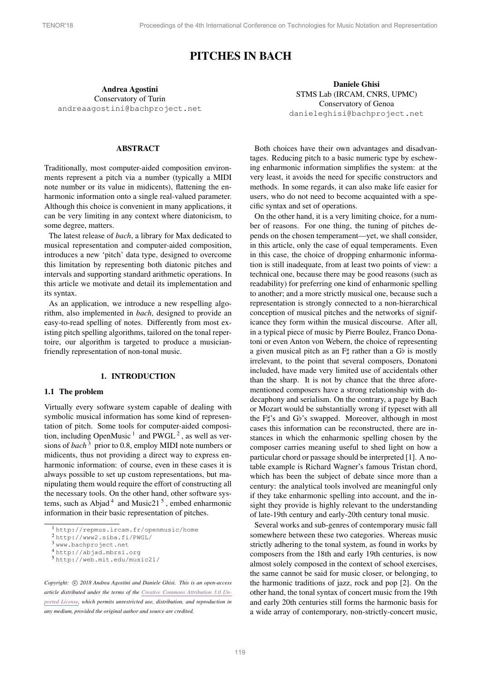# PITCHES IN BACH

Andrea Agostini Conservatory of Turin [andreaagostini@bachproject.net](mailto:andreaagostini@bachproject.net)

Daniele Ghisi STMS Lab (IRCAM, CNRS, UPMC) Conservatory of Genoa [danieleghisi@bachproject.net](mailto:danieleghisi@bachproject.net)

## ABSTRACT

Traditionally, most computer-aided composition environments represent a pitch via a number (typically a MIDI note number or its value in midicents), flattening the enharmonic information onto a single real-valued parameter. Although this choice is convenient in many applications, it can be very limiting in any context where diatonicism, to some degree, matters.

The latest release of *bach*, a library for Max dedicated to musical representation and computer-aided composition, introduces a new 'pitch' data type, designed to overcome this limitation by representing both diatonic pitches and intervals and supporting standard arithmetic operations. In this article we motivate and detail its implementation and its syntax.

As an application, we introduce a new respelling algorithm, also implemented in *bach*, designed to provide an easy-to-read spelling of notes. Differently from most existing pitch spelling algorithms, tailored on the tonal repertoire, our algorithm is targeted to produce a musicianfriendly representation of non-tonal music.

#### 1. INTRODUCTION

#### 1.1 The problem

Virtually every software system capable of dealing with symbolic musical information has some kind of representation of pitch. Some tools for computer-aided composition, including OpenMusic  $<sup>1</sup>$  $<sup>1</sup>$  $<sup>1</sup>$  and PWGL  $<sup>2</sup>$  $<sup>2</sup>$  $<sup>2</sup>$ , as well as ver-</sup></sup> sions of *bach*<sup>[3](#page-0-2)</sup> prior to 0.8, employ MIDI note numbers or midicents, thus not providing a direct way to express enharmonic information: of course, even in these cases it is always possible to set up custom representations, but manipulating them would require the effort of constructing all the necessary tools. On the other hand, other software sys-tems, such as Abjad<sup>[4](#page-0-3)</sup> and Music21<sup>[5](#page-0-4)</sup>, embed enharmonic information in their basic representation of pitches.

*Copyright:*  $\odot$  2018 Andrea Agostini and Daniele Ghisi. This is an open-access *article distributed under the terms of the Creative Commons [Attribution](http://creativecommons.org/licenses/by/3.0/) 3.0 Unported [License,](http://creativecommons.org/licenses/by/3.0/) which permits unrestricted use, distribution, and reproduction in any medium, provided the original author and source are credited.*

Both choices have their own advantages and disadvantages. Reducing pitch to a basic numeric type by eschewing enharmonic information simplifies the system: at the very least, it avoids the need for specific constructors and methods. In some regards, it can also make life easier for users, who do not need to become acquainted with a specific syntax and set of operations.

On the other hand, it is a very limiting choice, for a number of reasons. For one thing, the tuning of pitches depends on the chosen temperament—yet, we shall consider, in this article, only the case of equal temperaments. Even in this case, the choice of dropping enharmonic information is still inadequate, from at least two points of view: a technical one, because there may be good reasons (such as readability) for preferring one kind of enharmonic spelling to another; and a more strictly musical one, because such a representation is strongly connected to a non-hierarchical conception of musical pitches and the networks of significance they form within the musical discourse. After all, in a typical piece of music by Pierre Boulez, Franco Donatoni or even Anton von Webern, the choice of representing a given musical pitch as an  $F\sharp$  rather than a Gb is mostly irrelevant, to the point that several composers, Donatoni included, have made very limited use of accidentals other than the sharp. It is not by chance that the three aforementioned composers have a strong relationship with dodecaphony and serialism. On the contrary, a page by Bach or Mozart would be substantially wrong if typeset with all the F#'s and Gb's swapped. Moreover, although in most cases this information can be reconstructed, there are instances in which the enharmonic spelling chosen by the composer carries meaning useful to shed light on how a particular chord or passage should be interpreted [\[1\]](#page-9-0). A notable example is Richard Wagner's famous Tristan chord, which has been the subject of debate since more than a century: the analytical tools involved are meaningful only if they take enharmonic spelling into account, and the insight they provide is highly relevant to the understanding of late-19th century and early-20th century tonal music.

Several works and sub-genres of contemporary music fall somewhere between these two categories. Whereas music strictly adhering to the tonal system, as found in works by composers from the 18th and early 19th centuries, is now almost solely composed in the context of school exercises, the same cannot be said for music closer, or belonging, to the harmonic traditions of jazz, rock and pop [\[2\]](#page-9-1). On the other hand, the tonal syntax of concert music from the 19th and early 20th centuries still forms the harmonic basis for a wide array of contemporary, non-strictly-concert music,

<span id="page-0-0"></span><sup>1</sup> <http://repmus.ircam.fr/openmusic/home>

<span id="page-0-1"></span><sup>2</sup> <http://www2.siba.fi/PWGL/>

<span id="page-0-2"></span><sup>3</sup> <www.bachproject.net>

<span id="page-0-3"></span><sup>4</sup> <http://abjad.mbrsi.org>

<span id="page-0-4"></span><sup>5</sup> <http://web.mit.edu/music21/>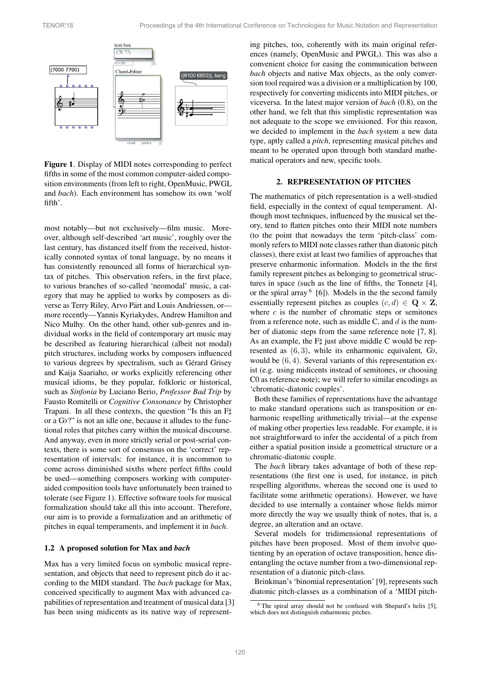<span id="page-1-0"></span>

Figure 1. Display of MIDI notes corresponding to perfect fifths in some of the most common computer-aided composition environments (from left to right, OpenMusic, PWGL and *bach*). Each environment has somehow its own 'wolf fifth'.

most notably—but not exclusively—film music. Moreover, although self-described 'art music', roughly over the last century, has distanced itself from the received, historically connoted syntax of tonal language, by no means it has consistently renounced all forms of hierarchical syntax of pitches. This observation refers, in the first place, to various branches of so-called 'neomodal' music, a category that may be applied to works by composers as diverse as Terry Riley, Arvo Pärt and Louis Andriessen, ormore recently—Yannis Kyriakydes, Andrew Hamilton and Nico Mulhy. On the other hand, other sub-genres and individual works in the field of contemporary art music may be described as featuring hierarchical (albeit not modal) pitch structures, including works by composers influenced to various degrees by spectralism, such as Gérard Grisey and Kaija Saariaho, or works explicitly referencing other musical idioms, be they popular, folkloric or historical, such as *Sinfonia* by Luciano Berio, *Professor Bad Trip* by Fausto Romitelli or *Cognitive Consonance* by Christopher Trapani. In all these contexts, the question "Is this an Ft" or a  $G_P$ ?" is not an idle one, because it alludes to the functional roles that pitches carry within the musical discourse. And anyway, even in more strictly serial or post-serial contexts, there is some sort of consensus on the 'correct' representation of intervals: for instance, it is uncommon to come across diminished sixths where perfect fifths could be used—something composers working with computeraided composition tools have unfortunately been trained to tolerate (see Figure [1\)](#page-1-0). Effective software tools for musical formalization should take all this into account. Therefore, our aim is to provide a formalization and an arithmetic of pitches in equal temperaments, and implement it in *bach*.

#### 1.2 A proposed solution for Max and *bach*

Max has a very limited focus on symbolic musical representation, and objects that need to represent pitch do it according to the MIDI standard. The *bach* package for Max, conceived specifically to augment Max with advanced capabilities of representation and treatment of musical data [\[3\]](#page-9-2) has been using midicents as its native way of representing pitches, too, coherently with its main original references (namely, OpenMusic and PWGL). This was also a convenient choice for easing the communication between *bach* objects and native Max objects, as the only conversion tool required was a division or a multiplication by 100, respectively for converting midicents into MIDI pitches, or viceversa. In the latest major version of *bach* (0.8), on the other hand, we felt that this simplistic representation was not adequate to the scope we envisioned. For this reason, we decided to implement in the *bach* system a new data type, aptly called a *pitch*, representing musical pitches and meant to be operated upon through both standard mathematical operators and new, specific tools.

## 2. REPRESENTATION OF PITCHES

The mathematics of pitch representation is a well-studied field, especially in the context of equal temperament. Although most techniques, influenced by the musical set theory, tend to flatten pitches onto their MIDI note numbers (to the point that nowadays the term 'pitch-class' commonly refers to MIDI note classes rather than diatonic pitch classes), there exist at least two families of approaches that preserve enharmonic information. Models in the the first family represent pitches as belonging to geometrical structures in space (such as the line of fifths, the Tonnetz [\[4\]](#page-9-3), or the spiral array  $(6)$  $(6)$  $(6)$ . Models in the the second family essentially represent pitches as couples  $(c, d) \in \mathbf{Q} \times \mathbf{Z}$ , where *c* is the number of chromatic steps or semitones from a reference note, such as middle C, and *d* is the number of diatonic steps from the same reference note [\[7,](#page-9-5) [8\]](#page-9-6). As an example, the  $F\sharp$  just above middle C would be represented as  $(6, 3)$ , while its enharmonic equivalent,  $G_{\mathfrak{b}}$ , would be (6*,* 4). Several variants of this representation exist (e.g. using midicents instead of semitones, or choosing C0 as reference note); we will refer to similar encodings as 'chromatic-diatonic couples'.

Both these families of representations have the advantage to make standard operations such as transposition or enharmonic respelling arithmetically trivial—at the expense of making other properties less readable. For example, it is not straightforward to infer the accidental of a pitch from either a spatial position inside a geometrical structure or a chromatic-diatonic couple.

The *bach* library takes advantage of both of these representations (the first one is used, for instance, in pitch respelling algorithms, whereas the second one is used to facilitate some arithmetic operations). However, we have decided to use internally a container whose fields mirror more directly the way we usually think of notes, that is, a degree, an alteration and an octave.

Several models for tridimensional representations of pitches have been proposed. Most of them involve quotienting by an operation of octave transposition, hence disentangling the octave number from a two-dimensional representation of a diatonic pitch-class.

Brinkman's 'binomial representation' [\[9\]](#page-9-7), represents such diatonic pitch-classes as a combination of a 'MIDI pitch-

<span id="page-1-1"></span> $6$  The spiral array should not be confused with Shepard's helix [\[5\]](#page-9-8), which does not distinguish enharmonic pitches.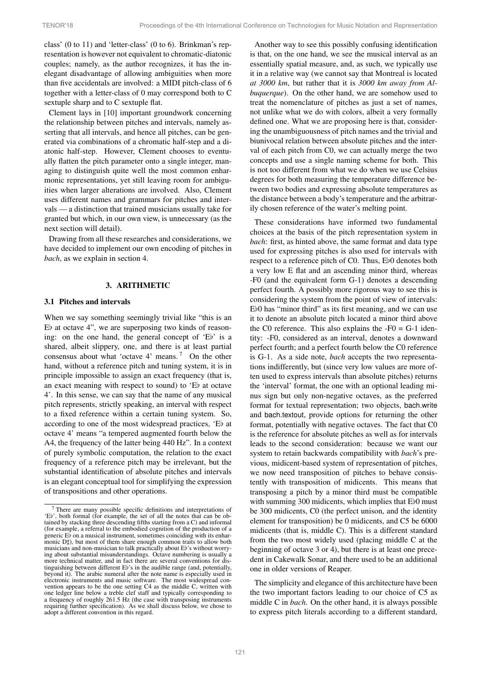class' (0 to 11) and 'letter-class' (0 to 6). Brinkman's representation is however not equivalent to chromatic-diatonic couples; namely, as the author recognizes, it has the inelegant disadvantage of allowing ambiguities when more than five accidentals are involved: a MIDI pitch-class of 6 together with a letter-class of 0 may correspond both to C sextuple sharp and to C sextuple flat.

Clement lays in [\[10\]](#page-9-9) important groundwork concerning the relationship between pitches and intervals, namely asserting that all intervals, and hence all pitches, can be generated via combinations of a chromatic half-step and a diatonic half-step. However, Clement chooses to eventually flatten the pitch parameter onto a single integer, managing to distinguish quite well the most common enharmonic representations, yet still leaving room for ambiguities when larger alterations are involved. Also, Clement uses different names and grammars for pitches and intervals — a distinction that trained musicians usually take for granted but which, in our own view, is unnecessary (as the next section will detail).

Drawing from all these researches and considerations, we have decided to implement our own encoding of pitches in *bach*, as we explain in section [4.](#page-4-0)

## 3. ARITHMETIC

#### 3.1 Pitches and intervals

When we say something seemingly trivial like "this is an  $E\flat$  at octave 4", we are superposing two kinds of reasoning: on the one hand, the general concept of 'Eb' is a shared, albeit slippery, one, and there is at least partial consensus about what 'octave 4' means. [7](#page-2-0) On the other hand, without a reference pitch and tuning system, it is in principle impossible to assign an exact frequency (that is, an exact meaning with respect to sound) to  $E$  at octave 4'. In this sense, we can say that the name of any musical pitch represents, strictly speaking, an interval with respect to a fixed reference within a certain tuning system. So, according to one of the most widespread practices, 'Eb at octave 4' means "a tempered augmented fourth below the A4, the frequency of the latter being 440 Hz". In a context of purely symbolic computation, the relation to the exact frequency of a reference pitch may be irrelevant, but the substantial identification of absolute pitches and intervals is an elegant conceptual tool for simplifying the expression of transpositions and other operations.

Another way to see this possibly confusing identification is that, on the one hand, we see the musical interval as an essentially spatial measure, and, as such, we typically use it in a relative way (we cannot say that Montreal is located *at 3000 km*, but rather that it is *3000 km away from Albuquerque*). On the other hand, we are somehow used to treat the nomenclature of pitches as just a set of names, not unlike what we do with colors, albeit a very formally defined one. What we are proposing here is that, considering the unambiguousness of pitch names and the trivial and biunivocal relation between absolute pitches and the interval of each pitch from C0, we can actually merge the two concepts and use a single naming scheme for both. This is not too different from what we do when we use Celsius degrees for both measuring the temperature difference between two bodies and expressing absolute temperatures as the distance between a body's temperature and the arbitrarily chosen reference of the water's melting point.

These considerations have informed two fundamental choices at the basis of the pitch representation system in *bach*: first, as hinted above, the same format and data type used for expressing pitches is also used for intervals with respect to a reference pitch of C0. Thus, Eb0 denotes both a very low E flat and an ascending minor third, whereas -F0 (and the equivalent form G-1) denotes a descending perfect fourth. A possibly more rigorous way to see this is considering the system from the point of view of intervals:  $E_{0}$  has "minor third" as its first meaning, and we can use it to denote an absolute pitch located a minor third above the C0 reference. This also explains the  $-F0 = G-1$  identity: -F0, considered as an interval, denotes a downward perfect fourth; and a perfect fourth below the C0 reference is G-1. As a side note, *bach* accepts the two representations indifferently, but (since very low values are more often used to express intervals than absolute pitches) returns the 'interval' format, the one with an optional leading minus sign but only non-negative octaves, as the preferred format for textual representation; two objects, bach.write and bach.textout, provide options for returning the other format, potentially with negative octaves. The fact that C0 is the reference for absolute pitches as well as for intervals leads to the second consideration: because we want our system to retain backwards compatibility with *bach*'s previous, midicent-based system of representation of pitches, we now need transposition of pitches to behave consistently with transposition of midicents. This means that transposing a pitch by a minor third must be compatible with summing 300 midicents, which implies that  $E_{0}$  must be 300 midicents, C0 (the perfect unison, and the identity element for transposition) be 0 midicents, and C5 be 6000 midicents (that is, middle C). This is a different standard from the two most widely used (placing middle C at the beginning of octave 3 or 4), but there is at least one precedent in Cakewalk Sonar, and there used to be an additional one in older versions of Reaper.

The simplicity and elegance of this architecture have been the two important factors leading to our choice of C5 as middle C in *bach*. On the other hand, it is always possible to express pitch literals according to a different standard,

<span id="page-2-0"></span><sup>&</sup>lt;sup>7</sup> There are many possible specific definitions and interpretations of 'Eb', both formal (for example, the set of all the notes that can be ob $t_{\rm crit}$ , bein formal (for example, the set of an the notes that can be  $\sigma$  or tail the starting from a C) and informal (for example, a referral to the embodied cognition of the production of a generic  $E\bar{\flat}$  on a musical instrument, sometimes coinciding with its enharmonic  $D\sharp$ ), but most of them share enough common traits to allow both musicians and non-musician to talk practically about Eb's without worry-<br>ing about substantial misunderstandings. Octave numbering is usually a more technical matter, and in fact there are several conventions for distinguishing between different Eb's in the audible range (and, potentially, beyond it). The arabic numeral after the note name is especially used in electronic instruments and music software. The most widespread convention appears to be the one setting C4 as the middle C, written with one ledger line below a treble clef staff and typically corresponding to a frequency of roughly 261.5 Hz (the case with transposing instruments requiring further specification). As we shall discuss below, we chose to adopt a different convention in this regard.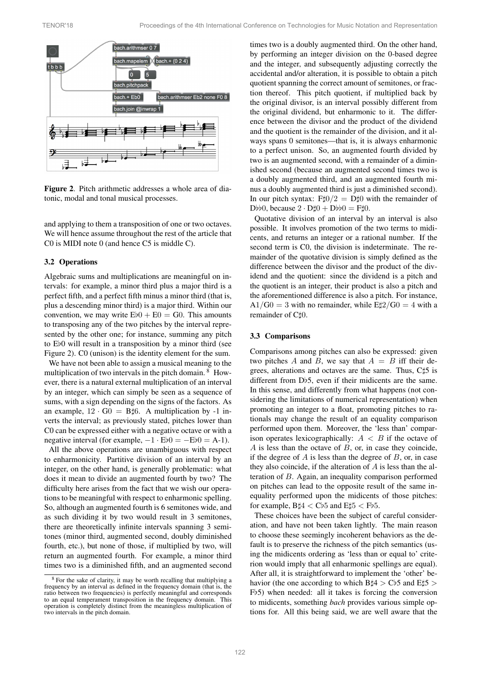<span id="page-3-0"></span>

Figure 2. Pitch arithmetic addresses a whole area of diatonic, modal and tonal musical processes.

and applying to them a transposition of one or two octaves. We will hence assume throughout the rest of the article that C0 is MIDI note 0 (and hence C5 is middle C).

#### <span id="page-3-2"></span>3.2 Operations

Algebraic sums and multiplications are meaningful on intervals: for example, a minor third plus a major third is a perfect fifth, and a perfect fifth minus a minor third (that is, plus a descending minor third) is a major third. Within our convention, we may write  $E_{00} + E_0 = G_0$ . This amounts to transposing any of the two pitches by the interval represented by the other one; for instance, summing any pitch to  $E$ b0 will result in a transposition by a minor third (see Figure [2\)](#page-3-0). C0 (unison) is the identity element for the sum.

We have not been able to assign a musical meaning to the multiplication of two intervals in the pitch domain. <sup>[8](#page-3-1)</sup> However, there is a natural external multiplication of an interval by an integer, which can simply be seen as a sequence of sums, with a sign depending on the signs of the factors. As an example,  $12 \cdot G0 = B \sharp 6$ . A multiplication by -1 inverts the interval; as previously stated, pitches lower than C0 can be expressed either with a negative octave or with a negative interval (for example,  $-1 \cdot Eb0 = -Eb0 = A-1$ ).

All the above operations are unambiguous with respect to enharmonicity. Partitive division of an interval by an integer, on the other hand, is generally problematic: what does it mean to divide an augmented fourth by two? The difficulty here arises from the fact that we wish our operations to be meaningful with respect to enharmonic spelling. So, although an augmented fourth is 6 semitones wide, and as such dividing it by two would result in 3 semitones, there are theoretically infinite intervals spanning 3 semitones (minor third, augmented second, doubly diminished fourth, etc.), but none of those, if multiplied by two, will return an augmented fourth. For example, a minor third times two is a diminished fifth, and an augmented second times two is a doubly augmented third. On the other hand, by performing an integer division on the 0-based degree and the integer, and subsequently adjusting correctly the accidental and/or alteration, it is possible to obtain a pitch quotient spanning the correct amount of semitones, or fraction thereof. This pitch quotient, if multiplied back by the original divisor, is an interval possibly different from the original dividend, but enharmonic to it. The difference between the divisor and the product of the dividend and the quotient is the remainder of the division, and it always spans 0 semitones—that is, it is always enharmonic to a perfect unison. So, an augmented fourth divided by two is an augmented second, with a remainder of a diminished second (because an augmented second times two is a doubly augmented third, and an augmented fourth minus a doubly augmented third is just a diminished second). In our pitch syntax:  $F\sharp 0/2 = D\sharp 0$  with the remainder of D $b\bar{b}0$ , because  $2 \cdot D\sharp 0 + D\flat 0 = F\sharp 0$ .

Quotative division of an interval by an interval is also possible. It involves promotion of the two terms to midicents, and returns an integer or a rational number. If the second term is C0, the division is indeterminate. The remainder of the quotative division is simply defined as the difference between the divisor and the product of the dividend and the quotient: since the dividend is a pitch and the quotient is an integer, their product is also a pitch and the aforementioned difference is also a pitch. For instance,  $A1/G0=3$  with no remainder, while E $\sharp 2/G0=4$  with a remainder of C#0.

#### 3.3 Comparisons

Comparisons among pitches can also be expressed: given two pitches *A* and *B*, we say that  $A = B$  iff their degrees, alterations and octaves are the same. Thus, C<sup> $\sharp$ 5</sup> is different from  $D\natural 5$ , even if their midicents are the same. In this sense, and differently from what happens (not considering the limitations of numerical representation) when promoting an integer to a float, promoting pitches to rationals may change the result of an equality comparison performed upon them. Moreover, the 'less than' comparison operates lexicographically:  $A \leq B$  if the octave of *A* is less than the octave of *B*, or, in case they coincide, if the degree of *A* is less than the degree of *B*, or, in case they also coincide, if the alteration of *A* is less than the alteration of *B*. Again, an inequality comparison performed on pitches can lead to the opposite result of the same inequality performed upon the midicents of those pitches: for example,  $B\sharp 4 < Cb5$  and  $E\sharp 5 < Fb5$ .

These choices have been the subject of careful consideration, and have not been taken lightly. The main reason to choose these seemingly incoherent behaviors as the default is to preserve the richness of the pitch semantics (using the midicents ordering as 'less than or equal to' criterion would imply that all enharmonic spellings are equal). After all, it is straightforward to implement the 'other' behavior (the one according to which  $B\sharp 4 > Cb5$  and  $E\sharp 5 >$  $Fb5$ ) when needed: all it takes is forcing the conversion to midicents, something *bach* provides various simple options for. All this being said, we are well aware that the

<span id="page-3-1"></span><sup>8</sup> For the sake of clarity, it may be worth recalling that multiplying a frequency by an interval as defined in the frequency domain (that is, the ratio between two frequencies) is perfectly meaningful and corresponds to an equal temperament transposition in the frequency domain. This operation is completely distinct from the meaningless multiplication of two intervals in the pitch domain.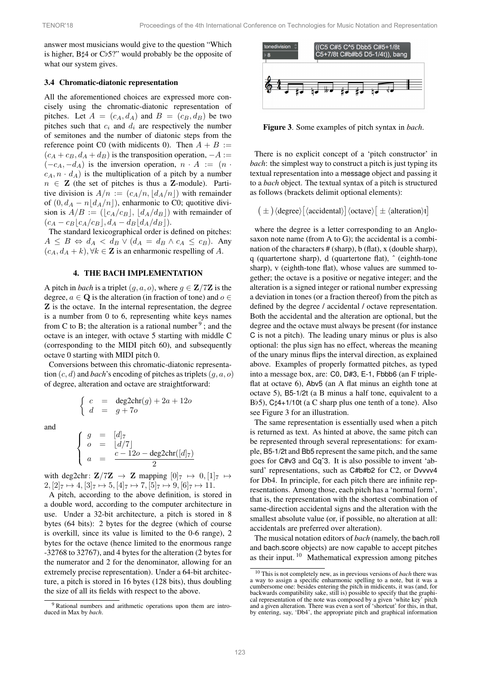answer most musicians would give to the question "Which is higher,  $B\sharp 4$  or  $C\flat 5$ ?" would probably be the opposite of what our system gives.

#### 3.4 Chromatic-diatonic representation

All the aforementioned choices are expressed more concisely using the chromatic-diatonic representation of pitches. Let  $A = (c_A, d_A)$  and  $B = (c_B, d_B)$  be two pitches such that  $c_i$  and  $d_i$  are respectively the number of semitones and the number of diatonic steps from the reference point C0 (with midicents 0). Then  $A + B :=$  $(c_A + c_B, d_A + d_B)$  is the transposition operation,  $-A$  :=  $(-c_A, -d_A)$  is the inversion operation,  $n \cdot A := (n \cdot a)$  $c_A, n \cdot d_A$  is the multiplication of a pitch by a number  $n \in \mathbb{Z}$  (the set of pitches is thus a Z-module). Partitive division is  $A/n := (c_A/n, |d_A/n|)$  with remainder of  $(0, d<sub>A</sub> - n|d<sub>A</sub>/n|)$ , enharmonic to C0; quotitive division is  $A/B := (\lfloor c_A/c_B \rfloor, \lfloor d_A/d_B \rfloor)$  with remainder of  $(c_A - c_B\lfloor c_A/c_B \rfloor, d_A - d_B\lfloor d_A/d_B \rfloor).$ 

The standard lexicographical order is defined on pitches:  $A \leq B \Leftrightarrow d_A < d_B \vee (d_A = d_B \wedge c_A \leq c_B)$ . Any  $(c_A, d_A + k), \forall k \in \mathbb{Z}$  is an enharmonic respelling of A.

#### 4. THE BACH IMPLEMENTATION

<span id="page-4-0"></span>A pitch in *bach* is a triplet  $(g, a, o)$ , where  $g \in \mathbb{Z}/7\mathbb{Z}$  is the degree,  $a \in \mathbf{Q}$  is the alteration (in fraction of tone) and  $o \in$ Z is the octave. In the internal representation, the degree is a number from 0 to 6, representing white keys names from C to B; the alteration is a rational number  $9$ ; and the octave is an integer, with octave 5 starting with middle C (corresponding to the MIDI pitch 60), and subsequently octave 0 starting with MIDI pitch 0.

Conversions between this chromatic-diatonic representation (*c, d*) and *bach*'s encoding of pitches as triplets(*g, a, o*) of degree, alteration and octave are straightforward:

$$
\begin{cases}\nc = \text{deg2chr}(g) + 2a + 12o \\
d = g + 7o\n\end{cases}
$$

and

$$
\begin{cases}\n g = [d]_7 \\
 o = [d/7] \\
 a = \frac{c - 12o - \deg 2 \text{chr}([d]_7)}{2}\n\end{cases}
$$

with deg2chr:  $\mathbf{Z}/7\mathbf{Z} \rightarrow \mathbf{Z}$  mapping  $[0]_7 \mapsto 0$ ,  $[1]_7 \mapsto$  $2, [2]_7 \mapsto 4, [3]_7 \mapsto 5, [4]_7 \mapsto 7, [5]_7 \mapsto 9, [6]_7 \mapsto 11.$ 

A pitch, according to the above definition, is stored in a double word, according to the computer architecture in use. Under a 32-bit architecture, a pitch is stored in 8 bytes (64 bits): 2 bytes for the degree (which of course is overkill, since its value is limited to the 0-6 range), 2 bytes for the octave (hence limited to the enormous range -32768 to 32767), and 4 bytes for the alteration (2 bytes for the numerator and 2 for the denominator, allowing for an extremely precise representation). Under a 64-bit architecture, a pitch is stored in 16 bytes (128 bits), thus doubling the size of all its fields with respect to the above.

<span id="page-4-2"></span>

Figure 3. Some examples of pitch syntax in *bach*.

There is no explicit concept of a 'pitch constructor' in *bach*: the simplest way to construct a pitch is just typing its textual representation into a message object and passing it to a *bach* object. The textual syntax of a pitch is structured as follows (brackets delimit optional elements):

$$
\big(\,\pm\,\big)\langle degree \rangle \big[\langle accidental \rangle \big] \langle octave \rangle \big[\,\pm\,\langle alteration \rangle t \big]
$$

where the degree is a letter corresponding to an Anglosaxon note name (from A to G); the accidental is a combination of the characters  $#(\text{sharp})$ , b (flat), x (double sharp), q (quartertone sharp), d (quartertone flat), ˆ (eighth-tone sharp), v (eighth-tone flat), whose values are summed together; the octave is a positive or negative integer; and the alteration is a signed integer or rational number expressing a deviation in tones (or a fraction thereof) from the pitch as defined by the degree / accidental / octave representation. Both the accidental and the alteration are optional, but the degree and the octave must always be present (for instance C is not a pitch). The leading unary minus or plus is also optional: the plus sign has no effect, whereas the meaning of the unary minus flips the interval direction, as explained above. Examples of properly formatted pitches, as typed into a message box, are: C0, D#3, E-1, Fbbb6 (an F tripleflat at octave 6), Abv5 (an A flat minus an eighth tone at octave 5), B5-1/2t (a B minus a half tone, equivalent to a B $b$ 5), C $\sharp$ 4+1/10t (a C sharp plus one tenth of a tone). Also see Figure [3](#page-4-2) for an illustration.

The same representation is essentially used when a pitch is returned as text. As hinted at above, the same pitch can be represented through several representations: for example, B5-1/2t and Bb5 represent the same pitch, and the same goes for C#v3 and Cqˆ3. It is also possible to invent 'absurd' representations, such as C#b#b2 for C2, or Dvvvv4 for Db4. In principle, for each pitch there are infinite representations. Among those, each pitch has a 'normal form', that is, the representation with the shortest combination of same-direction accidental signs and the alteration with the smallest absolute value (or, if possible, no alteration at all: accidentals are preferred over alteration).

The musical notation editors of *bach* (namely, the bach.roll and bach.score objects) are now capable to accept pitches as their input. [10](#page-4-3) Mathematical expression among pitches

<span id="page-4-1"></span><sup>9</sup> Rational numbers and arithmetic operations upon them are introduced in Max by *bach*.

<span id="page-4-3"></span><sup>10</sup> This is not completely new, as in previous versions of *bach* there was a way to assign a specific enharmonic spelling to a note, but it was a cumbersome one: besides entering the pitch in midicents, it was (and, for backwards compatibility sake, still is) possible to specify that the graphical representation of the note was composed by a given 'white key' pitch and a given alteration. There was even a sort of 'shortcut' for this, in that, by entering, say, 'Db4', the appropriate pitch and graphical information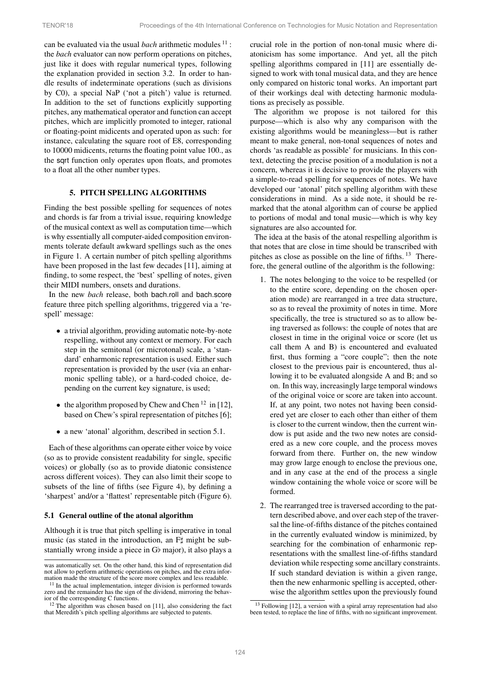can be evaluated via the usual *bach* arithmetic modules <sup>[11](#page-5-0)</sup> : the *bach* evaluator can now perform operations on pitches, just like it does with regular numerical types, following the explanation provided in section [3.2.](#page-3-2) In order to handle results of indeterminate operations (such as divisions by C0), a special NaP ('not a pitch') value is returned. In addition to the set of functions explicitly supporting pitches, any mathematical operator and function can accept pitches, which are implicitly promoted to integer, rational or floating-point midicents and operated upon as such: for instance, calculating the square root of E8, corresponding to 10000 midicents, returns the floating point value 100., as the sqrt function only operates upon floats, and promotes to a float all the other number types.

# 5. PITCH SPELLING ALGORITHMS

Finding the best possible spelling for sequences of notes and chords is far from a trivial issue, requiring knowledge of the musical context as well as computation time—which is why essentially all computer-aided composition environments tolerate default awkward spellings such as the ones in Figure [1.](#page-1-0) A certain number of pitch spelling algorithms have been proposed in the last few decades [\[11\]](#page-9-10), aiming at finding, to some respect, the 'best' spelling of notes, given their MIDI numbers, onsets and durations.

In the new *bach* release, both bach.roll and bach.score feature three pitch spelling algorithms, triggered via a 'respell' message:

- *•* a trivial algorithm, providing automatic note-by-note respelling, without any context or memory. For each step in the semitonal (or microtonal) scale, a 'standard' enharmonic representation is used. Either such representation is provided by the user (via an enharmonic spelling table), or a hard-coded choice, depending on the current key signature, is used;
- the algorithm proposed by Chew and Chen <sup>[12](#page-5-1)</sup> in [\[12\]](#page-9-11), based on Chew's spiral representation of pitches [\[6\]](#page-9-4);
- *•* a new 'atonal' algorithm, described in section [5.1.](#page-5-2)

Each of these algorithms can operate either voice by voice (so as to provide consistent readability for single, specific voices) or globally (so as to provide diatonic consistence across different voices). They can also limit their scope to subsets of the line of fifths (see Figure [4\)](#page-6-0), by defining a 'sharpest' and/or a 'flattest' representable pitch (Figure [6\)](#page-7-0).

#### <span id="page-5-2"></span>5.1 General outline of the atonal algorithm

Although it is true that pitch spelling is imperative in tonal music (as stated in the introduction, an  $F\sharp$  might be substantially wrong inside a piece in  $G$  major), it also plays a crucial role in the portion of non-tonal music where diatonicism has some importance. And yet, all the pitch spelling algorithms compared in [\[11\]](#page-9-10) are essentially designed to work with tonal musical data, and they are hence only compared on historic tonal works. An important part of their workings deal with detecting harmonic modulations as precisely as possible.

The algorithm we propose is not tailored for this purpose—which is also why any comparison with the existing algorithms would be meaningless—but is rather meant to make general, non-tonal sequences of notes and chords 'as readable as possible' for musicians. In this context, detecting the precise position of a modulation is not a concern, whereas it is decisive to provide the players with a simple-to-read spelling for sequences of notes. We have developed our 'atonal' pitch spelling algorithm with these considerations in mind. As a side note, it should be remarked that the atonal algorithm can of course be applied to portions of modal and tonal music—which is why key signatures are also accounted for.

The idea at the basis of the atonal respelling algorithm is that notes that are close in time should be transcribed with pitches as close as possible on the line of fifths.  $13$  Therefore, the general outline of the algorithm is the following:

- 1. The notes belonging to the voice to be respelled (or to the entire score, depending on the chosen operation mode) are rearranged in a tree data structure, so as to reveal the proximity of notes in time. More specifically, the tree is structured so as to allow being traversed as follows: the couple of notes that are closest in time in the original voice or score (let us call them A and B) is encountered and evaluated first, thus forming a "core couple"; then the note closest to the previous pair is encountered, thus allowing it to be evaluated alongside A and B; and so on. In this way, increasingly large temporal windows of the original voice or score are taken into account. If, at any point, two notes not having been considered yet are closer to each other than either of them is closer to the current window, then the current window is put aside and the two new notes are considered as a new core couple, and the process moves forward from there. Further on, the new window may grow large enough to enclose the previous one, and in any case at the end of the process a single window containing the whole voice or score will be formed.
- 2. The rearranged tree is traversed according to the pattern described above, and over each step of the traversal the line-of-fifths distance of the pitches contained in the currently evaluated window is minimized, by searching for the combination of enharmonic representations with the smallest line-of-fifths standard deviation while respecting some ancillary constraints. If such standard deviation is within a given range, then the new enharmonic spelling is accepted, otherwise the algorithm settles upon the previously found

was automatically set. On the other hand, this kind of representation did not allow to perform arithmetic operations on pitches, and the extra infor-mation made the structure of the score more complex and less readable.

<span id="page-5-0"></span><sup>&</sup>lt;sup>11</sup> In the actual implementation, integer division is performed towards zero and the remainder has the sign of the dividend, mirroring the behavior of the corresponding C functions.

<span id="page-5-1"></span> $12$  The algorithm was chosen based on [\[11\]](#page-9-10), also considering the fact that Meredith's pitch spelling algorithms are subjected to patents.

<span id="page-5-3"></span><sup>13</sup> Following [\[12\]](#page-9-11), a version with a spiral array representation had also been tested, to replace the line of fifths, with no significant improvement.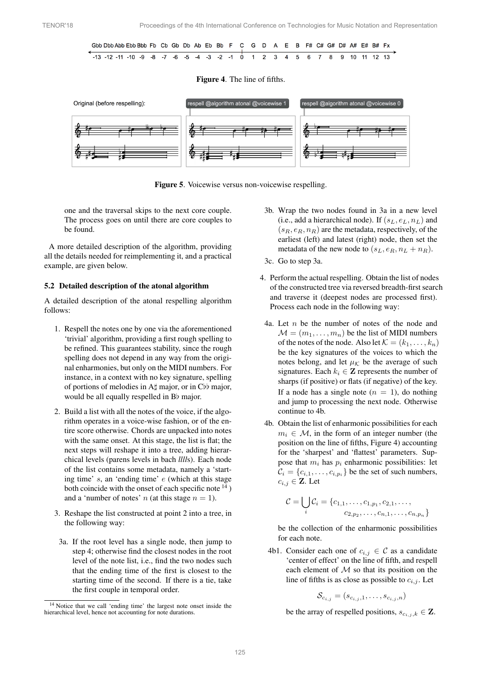

## <span id="page-6-0"></span>Figure 4. The line of fifths.



Figure 5. Voicewise versus non-voicewise respelling.

one and the traversal skips to the next core couple. The process goes on until there are core couples to be found.

A more detailed description of the algorithm, providing all the details needed for reimplementing it, and a practical example, are given below.

#### 5.2 Detailed description of the atonal algorithm

A detailed description of the atonal respelling algorithm follows:

- 1. Respell the notes one by one via the aforementioned 'trivial' algorithm, providing a first rough spelling to be refined. This guarantees stability, since the rough spelling does not depend in any way from the original enharmonies, but only on the MIDI numbers. For instance, in a context with no key signature, spelling of portions of melodies in A $\sharp$  major, or in C $\natural$  major, would be all equally respelled in  $B\flat$  major.
- 2. Build a list with all the notes of the voice, if the algorithm operates in a voice-wise fashion, or of the entire score otherwise. Chords are unpacked into notes with the same onset. At this stage, the list is flat; the next steps will reshape it into a tree, adding hierarchical levels (parens levels in bach *llll*s). Each node of the list contains some metadata, namely a 'starting time' *s*, an 'ending time' *e* (which at this stage both coincide with the onset of each specific note  $^{14}$  $^{14}$  $^{14}$ ) and a 'number of notes' *n* (at this stage  $n = 1$ ).
- 3. Reshape the list constructed at point 2 into a tree, in the following way:
- 3a. If the root level has a single node, then jump to step 4; otherwise find the closest nodes in the root level of the note list, i.e., find the two nodes such that the ending time of the first is closest to the starting time of the second. If there is a tie, take the first couple in temporal order.
- 3b. Wrap the two nodes found in 3a in a new level (i.e., add a hierarchical node). If  $(s_L, e_L, n_L)$  and  $(s_R, e_R, n_R)$  are the metadata, respectively, of the earliest (left) and latest (right) node, then set the metadata of the new node to  $(s_L, e_R, n_L + n_R)$ .
- 3c. Go to step 3a.
- 4. Perform the actual respelling. Obtain the list of nodes of the constructed tree via reversed breadth-first search and traverse it (deepest nodes are processed first). Process each node in the following way:
	- 4a. Let *n* be the number of notes of the node and  $M = (m_1, \ldots, m_n)$  be the list of MIDI numbers of the notes of the node. Also let  $K = (k_1, \ldots, k_n)$ be the key signatures of the voices to which the notes belong, and let  $\mu_K$  be the average of such signatures. Each  $k_i \in \mathbb{Z}$  represents the number of sharps (if positive) or flats (if negative) of the key. If a node has a single note  $(n = 1)$ , do nothing and jump to processing the next node. Otherwise continue to 4b.
	- 4b. Obtain the list of enharmonic possibilities for each  $m_i \in \mathcal{M}$ , in the form of an integer number (the position on the line of fifths, Figure [4\)](#page-6-0) accounting for the 'sharpest' and 'flattest' parameters. Suppose that  $m_i$  has  $p_i$  enharmonic possibilities: let  $C_i = \{c_{i,1}, \ldots, c_{i,p_i}\}$  be the set of such numbers,  $c_{i,j} \in \mathbf{Z}$ . Let

$$
C = \bigcup_i C_i = \{c_{1,1}, \ldots, c_{1,p_1}, c_{2,1}, \ldots, c_{n,p_n}\}
$$

be the collection of the enharmonic possibilities for each note.

4b1. Consider each one of  $c_{i,j} \in \mathcal{C}$  as a candidate 'center of effect' on the line of fifth, and respell each element of *M* so that its position on the line of fifths is as close as possible to  $c_{i,j}$ . Let

$$
\mathcal{S}_{c_{i,j}}=(s_{c_{i,j},1},\ldots,s_{c_{i,j},n})
$$

be the array of respelled positions,  $s_{c_i,j,k} \in \mathbf{Z}$ .

<span id="page-6-1"></span><sup>14</sup> Notice that we call 'ending time' the largest note onset inside the hierarchical level, hence not accounting for note durations.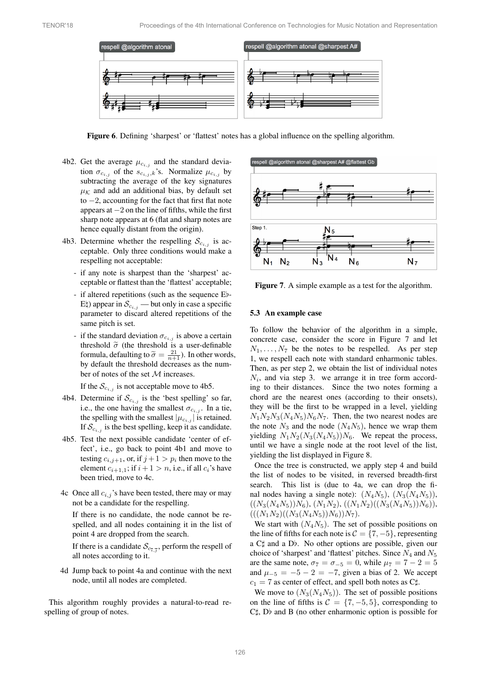

<span id="page-7-0"></span>Figure 6. Defining 'sharpest' or 'flattest' notes has a global influence on the spelling algorithm.

- 4b2. Get the average  $\mu_{c_{i,j}}$  and the standard deviation  $\sigma_{c_{i,j}}$  of the  $s_{c_{i,j},k}$ 's. Normalize  $\mu_{c_{i,j}}$  by subtracting the average of the key signatures  $\mu_K$  and add an additional bias, by default set to  $-2$ , accounting for the fact that first flat note appears at  $-2$  on the line of fifths, while the first sharp note appears at 6 (flat and sharp notes are hence equally distant from the origin).
- 4b3. Determine whether the respelling  $S_{c_{i,j}}$  is acceptable. Only three conditions would make a respelling not acceptable:
	- if any note is sharpest than the 'sharpest' acceptable or flattest than the 'flattest' acceptable;
	- if altered repetitions (such as the sequence  $E$ )-E $\phi$ ) appear in  $\mathcal{S}_{c_{i,j}}$  — but only in case a specific parameter to discard altered repetitions of the same pitch is set.
	- if the standard deviation  $\sigma_{c_{i,j}}$  is above a certain threshold  $\tilde{\sigma}$  (the threshold is a user-definable formula, defaulting to  $\tilde{\sigma} = \frac{21}{n+1}$ ). In other words, by default the threshold decreases as the number of notes of the set *M* increases.

If the  $S_{c_{i,j}}$  is not acceptable move to 4b5.

- 4b4. Determine if  $S_{c_{i,j}}$  is the 'best spelling' so far, i.e., the one having the smallest  $\sigma_{c_{i,j}}$ . In a tie, the spelling with the smallest  $|\mu_{c_{i,j}}|$  is retained. If  $S_{c_{i,j}}$  is the best spelling, keep it as candidate.
- 4b5. Test the next possible candidate 'center of effect', i.e., go back to point 4b1 and move to testing  $c_{i,j+1}$ , or, if  $j+1 > p_i$  then move to the element  $c_{i+1,1}$ ; if  $i+1 > n$ , i.e., if all  $c_i$ 's have been tried, move to 4c.
- 4c Once all  $c_{i,j}$ 's have been tested, there may or may not be a candidate for the respelling.

If there is no candidate, the node cannot be respelled, and all nodes containing it in the list of point 4 are dropped from the search.

If there is a candidate  $\mathcal{S}_{c_{\overline{i},\overline{j}}},$  perform the respell of all notes according to it.

4d Jump back to point 4a and continue with the next node, until all nodes are completed.

This algorithm roughly provides a natural-to-read respelling of group of notes.

<span id="page-7-1"></span>

Figure 7. A simple example as a test for the algorithm.

#### 5.3 An example case

To follow the behavior of the algorithm in a simple, concrete case, consider the score in Figure [7](#page-7-1) and let  $N_1, \ldots, N_7$  be the notes to be respelled. As per step 1, we respell each note with standard enharmonic tables. Then, as per step 2, we obtain the list of individual notes *Ni*, and via step 3. we arrange it in tree form according to their distances. Since the two notes forming a chord are the nearest ones (according to their onsets), they will be the first to be wrapped in a level, yielding  $N_1N_2N_3(N_4N_5)N_6N_7$ . Then, the two nearest nodes are the note  $N_3$  and the node  $(N_4N_5)$ , hence we wrap them yielding  $N_1N_2(N_3(N_4N_5))N_6$ . We repeat the process, until we have a single node at the root level of the list, yielding the list displayed in Figure [8.](#page-8-0)

Once the tree is constructed, we apply step 4 and build the list of nodes to be visited, in reversed breadth-first search. This list is (due to 4a, we can drop the final nodes having a single note):  $(N_4N_5)$ ,  $(N_3(N_4N_5))$ ,  $((N_3(N_4N_5))N_6), (N_1N_2), ((N_1N_2)((N_3(N_4N_5))N_6)),$  $(((N_1N_2)((N_3(N_4N_5))N_6))N_7).$ 

We start with  $(N_4N_5)$ . The set of possible positions on the line of fifths for each note is  $C = \{7, -5\}$ , representing a C $\sharp$  and a Db. No other options are possible, given our choice of 'sharpest' and 'flattest' pitches. Since *N*<sup>4</sup> and *N*<sup>5</sup> are the same note,  $\sigma_7 = \sigma_{-5} = 0$ , while  $\mu_7 = 7 - 2 = 5$ and  $\mu_{-5} = -5 - 2 = -7$ , given a bias of 2. We accept  $c_1 = 7$  as center of effect, and spell both notes as C<sup> $\uparrow$ </sup>.

We move to  $(N_3(N_4N_5))$ . The set of possible positions on the line of fifths is  $C = \{7, -5, 5\}$ , corresponding to  $C_{\mu}$ ,  $D_{\nu}$  and B (no other enharmonic option is possible for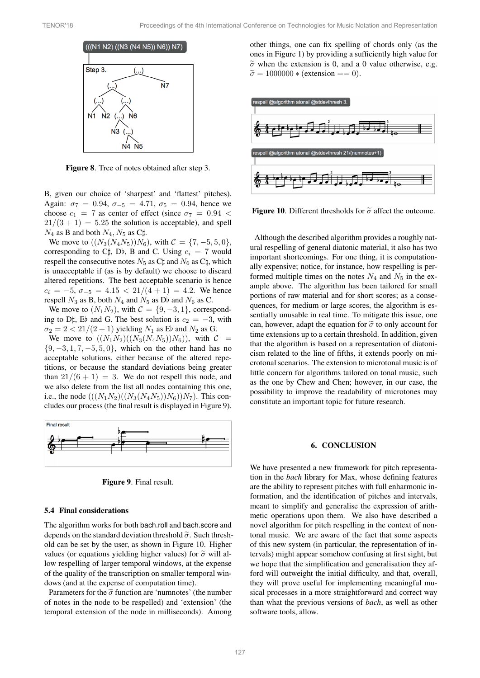<span id="page-8-0"></span>

Figure 8. Tree of notes obtained after step 3.

B, given our choice of 'sharpest' and 'flattest' pitches). Again:  $\sigma_7 = 0.94$ ,  $\sigma_{-5} = 4.71$ ,  $\sigma_5 = 0.94$ , hence we choose  $c_1 = 7$  as center of effect (since  $\sigma_7 = 0.94$  <  $21/(3 + 1) = 5.25$  the solution is acceptable), and spell  $N_4$  as **B** and both  $N_4$ ,  $N_5$  as C<sup> $\uparrow$ </sup>.

We move to  $((N_3(N_4N_5))N_6)$ , with  $\mathcal{C} = \{7, -5, 5, 0\}$ , corresponding to C $\sharp$ , D $\flat$ , B and C. Using  $c_i = 7$  would respell the consecutive notes  $N_5$  as C $\sharp$  and  $N_6$  as C $\sharp$ , which is unacceptable if (as is by default) we choose to discard altered repetitions. The best acceptable scenario is hence  $c_i = -5$ ,  $\sigma_{-5} = 4.15 < 21/(4+1) = 4.2$ . We hence respell  $N_3$  as B, both  $N_4$  and  $N_5$  as D<sub>p</sub> and  $N_6$  as C.

We move to  $(N_1N_2)$ , with  $C = \{9, -3, 1\}$ , corresponding to D<sup> $\sharp$ </sup>, E<sub>p</sub> and G. The best solution is  $c_2 = -3$ , with  $\sigma_2 = 2 < 21/(2+1)$  yielding  $N_1$  as E<sub>p</sub> and  $N_2$  as G.

We move to  $((N_1N_2)((N_3(N_4N_5))N_6))$ , with  $C =$  $\{9, -3, 1, 7, -5, 5, 0\}$ , which on the other hand has no acceptable solutions, either because of the altered repetitions, or because the standard deviations being greater than  $21/(6 + 1) = 3$ . We do not respell this node, and we also delete from the list all nodes containing this one, i.e., the node  $(((N_1N_2)((N_3(N_4N_5))N_6))N_7)$ . This concludes our process (the final result is displayed in Figure [9\)](#page-8-1).

<span id="page-8-1"></span>



#### 5.4 Final considerations

The algorithm works for both bach.roll and bach.score and depends on the standard deviation threshold  $\tilde{\sigma}$ . Such threshold can be set by the user, as shown in Figure [10.](#page-8-2) Higher values (or equations yielding higher values) for  $\tilde{\sigma}$  will allow respelling of larger temporal windows, at the expense of the quality of the transcription on smaller temporal windows (and at the expense of computation time).

Parameters for the  $\tilde{\sigma}$  function are 'numnotes' (the number of notes in the node to be respelled) and 'extension' (the temporal extension of the node in milliseconds). Among other things, one can fix spelling of chords only (as the ones in Figure [1\)](#page-1-0) by providing a sufficiently high value for  $\tilde{\sigma}$  when the extension is 0, and a 0 value otherwise, e.g.  $\tilde{\sigma} = 1000000 *$  (extension == 0).

<span id="page-8-2"></span>

Figure 10. Different thresholds for  $\tilde{\sigma}$  affect the outcome.

Although the described algorithm provides a roughly natural respelling of general diatonic material, it also has two important shortcomings. For one thing, it is computationally expensive; notice, for instance, how respelling is performed multiple times on the notes  $N_4$  and  $N_5$  in the example above. The algorithm has been tailored for small portions of raw material and for short scores; as a consequences, for medium or large scores, the algorithm is essentially unusable in real time. To mitigate this issue, one can, however, adapt the equation for  $\tilde{\sigma}$  to only account for time extensions up to a certain threshold. In addition, given that the algorithm is based on a representation of diatonicism related to the line of fifths, it extends poorly on microtonal scenarios. The extension to microtonal music is of little concern for algorithms tailored on tonal music, such as the one by Chew and Chen; however, in our case, the possibility to improve the readability of microtones may constitute an important topic for future research.

#### 6. CONCLUSION

We have presented a new framework for pitch representation in the *bach* library for Max, whose defining features are the ability to represent pitches with full enharmonic information, and the identification of pitches and intervals, meant to simplify and generalise the expression of arithmetic operations upon them. We also have described a novel algorithm for pitch respelling in the context of nontonal music. We are aware of the fact that some aspects of this new system (in particular, the representation of intervals) might appear somehow confusing at first sight, but we hope that the simplification and generalisation they afford will outweight the initial difficulty, and that, overall, they will prove useful for implementing meaningful musical processes in a more straightforward and correct way than what the previous versions of *bach*, as well as other software tools, allow.